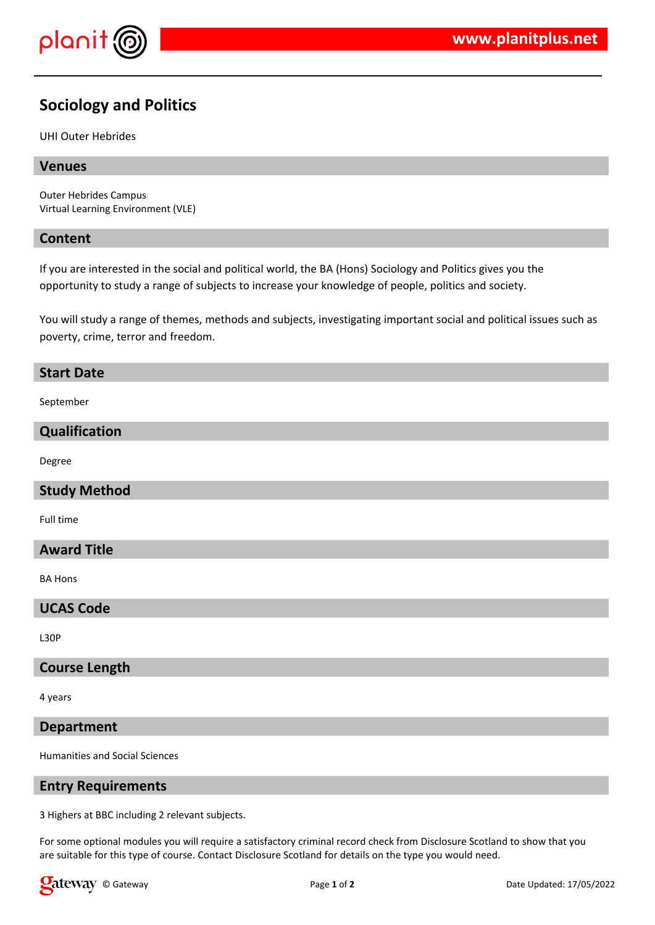

# **Sociology and Politics**

#### UHI Outer Hebrides

# **Venues**

Outer Hebrides Campus Virtual Learning Environment (VLE)

#### **Content**

If you are interested in the social and political world, the BA (Hons) Sociology and Politics gives you the opportunity to study a range of subjects to increase your knowledge of people, politics and society.

You will study a range of themes, methods and subjects, investigating important social and political issues such as poverty, crime, terror and freedom.

#### **Start Date**

September

# **Qualification**

Degree

# **Study Method**

Full time

#### **Award Title**

BA Hons

# **UCAS Code**

L30P

#### **Course Length**

4 years

#### **Department**

Humanities and Social Sciences

# **Entry Requirements**

3 Highers at BBC including 2 relevant subjects.

For some optional modules you will require a satisfactory criminal record check from Disclosure Scotland to show that you are suitable for this type of course. Contact Disclosure Scotland for details on the type you would need.